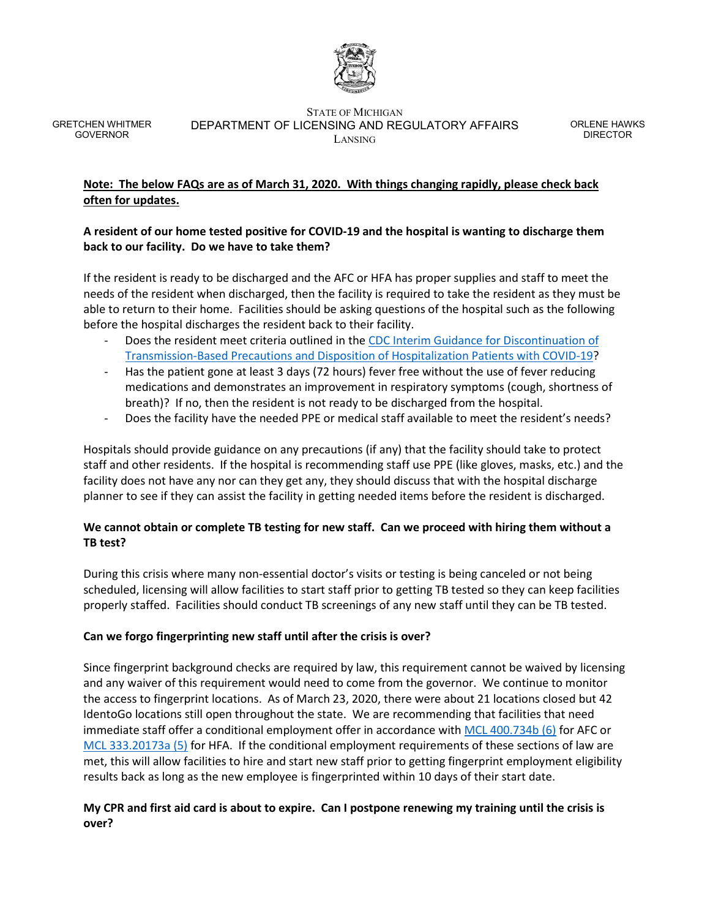

#### STATE OF MICHIGAN DEPARTMENT OF LICENSING AND REGULATORY AFFAIRS LANSING

ORLENE HAWKS DIRECTOR

# **Note: The below FAQs are as of March 31, 2020. With things changing rapidly, please check back often for updates.**

# **A resident of our home tested positive for COVID-19 and the hospital is wanting to discharge them back to our facility. Do we have to take them?**

If the resident is ready to be discharged and the AFC or HFA has proper supplies and staff to meet the needs of the resident when discharged, then the facility is required to take the resident as they must be able to return to their home. Facilities should be asking questions of the hospital such as the following before the hospital discharges the resident back to their facility.

- Does the resident meet criteria outlined in the CDC Interim Guidance for Discontinuation of [Transmission-Based Precautions and Disposition of Hospitalization Patients with COVID-19?](https://www.cdc.gov/coronavirus/2019-ncov/hcp/disposition-hospitalized-patients.html)
- Has the patient gone at least 3 days (72 hours) fever free without the use of fever reducing medications and demonstrates an improvement in respiratory symptoms (cough, shortness of breath)? If no, then the resident is not ready to be discharged from the hospital.
- Does the facility have the needed PPE or medical staff available to meet the resident's needs?

Hospitals should provide guidance on any precautions (if any) that the facility should take to protect staff and other residents. If the hospital is recommending staff use PPE (like gloves, masks, etc.) and the facility does not have any nor can they get any, they should discuss that with the hospital discharge planner to see if they can assist the facility in getting needed items before the resident is discharged.

# **We cannot obtain or complete TB testing for new staff. Can we proceed with hiring them without a TB test?**

During this crisis where many non-essential doctor's visits or testing is being canceled or not being scheduled, licensing will allow facilities to start staff prior to getting TB tested so they can keep facilities properly staffed. Facilities should conduct TB screenings of any new staff until they can be TB tested.

# **Can we forgo fingerprinting new staff until after the crisis is over?**

Since fingerprint background checks are required by law, this requirement cannot be waived by licensing and any waiver of this requirement would need to come from the governor. We continue to monitor the access to fingerprint locations. As of March 23, 2020, there were about 21 locations closed but 42 IdentoGo locations still open throughout the state. We are recommending that facilities that need immediate staff offer a conditional employment offer in accordance wit[h MCL 400.734b \(6\)](http://legislature.mi.gov/(S(ie0okpsiqejyzbf1os4sqfgv))/mileg.aspx?page=getObject&objectName=mcl-400-734b) for AFC or [MCL 333.20173a \(5\)](http://legislature.mi.gov/(S(ie0okpsiqejyzbf1os4sqfgv))/mileg.aspx?page=getObject&objectName=mcl-333-20173a) for HFA. If the conditional employment requirements of these sections of law are met, this will allow facilities to hire and start new staff prior to getting fingerprint employment eligibility results back as long as the new employee is fingerprinted within 10 days of their start date.

# **My CPR and first aid card is about to expire. Can I postpone renewing my training until the crisis is over?**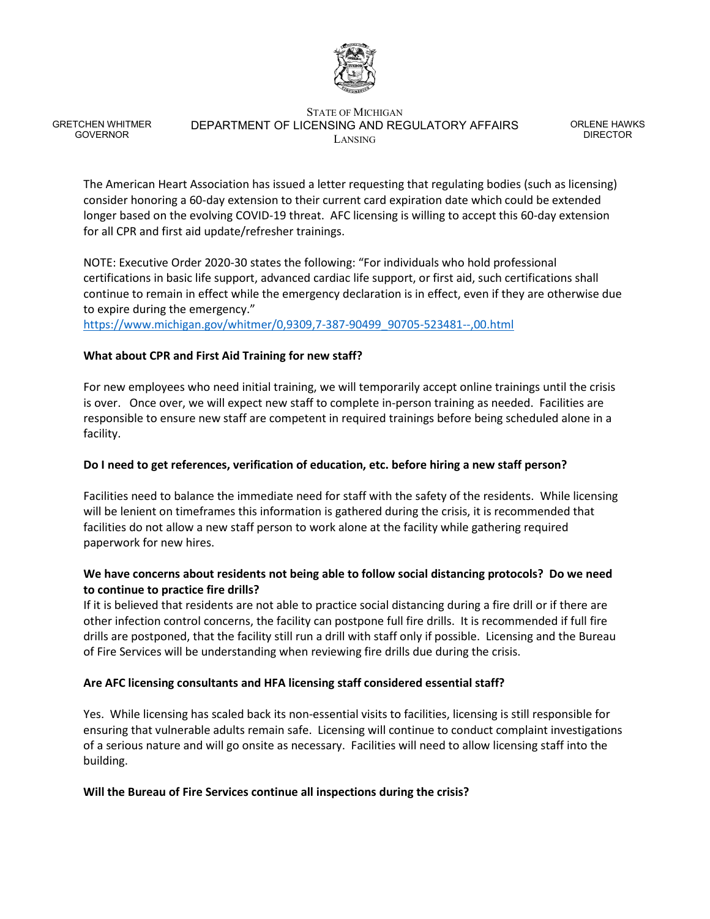

#### STATE OF MICHIGAN DEPARTMENT OF LICENSING AND REGULATORY AFFAIRS LANSING

ORLENE HAWKS DIRECTOR

The American Heart Association has issued a letter requesting that regulating bodies (such as licensing) consider honoring a 60-day extension to their current card expiration date which could be extended longer based on the evolving COVID-19 threat. AFC licensing is willing to accept this 60-day extension for all CPR and first aid update/refresher trainings.

NOTE: Executive Order 2020-30 states the following: "For individuals who hold professional certifications in basic life support, advanced cardiac life support, or first aid, such certifications shall continue to remain in effect while the emergency declaration is in effect, even if they are otherwise due to expire during the emergency."

[https://www.michigan.gov/whitmer/0,9309,7-387-90499\\_90705-523481--,00.html](https://www.michigan.gov/whitmer/0,9309,7-387-90499_90705-523481--,00.html)

### **What about CPR and First Aid Training for new staff?**

For new employees who need initial training, we will temporarily accept online trainings until the crisis is over. Once over, we will expect new staff to complete in-person training as needed. Facilities are responsible to ensure new staff are competent in required trainings before being scheduled alone in a facility.

### **Do I need to get references, verification of education, etc. before hiring a new staff person?**

Facilities need to balance the immediate need for staff with the safety of the residents. While licensing will be lenient on timeframes this information is gathered during the crisis, it is recommended that facilities do not allow a new staff person to work alone at the facility while gathering required paperwork for new hires.

### **We have concerns about residents not being able to follow social distancing protocols? Do we need to continue to practice fire drills?**

If it is believed that residents are not able to practice social distancing during a fire drill or if there are other infection control concerns, the facility can postpone full fire drills. It is recommended if full fire drills are postponed, that the facility still run a drill with staff only if possible. Licensing and the Bureau of Fire Services will be understanding when reviewing fire drills due during the crisis.

### **Are AFC licensing consultants and HFA licensing staff considered essential staff?**

Yes. While licensing has scaled back its non-essential visits to facilities, licensing is still responsible for ensuring that vulnerable adults remain safe. Licensing will continue to conduct complaint investigations of a serious nature and will go onsite as necessary. Facilities will need to allow licensing staff into the building.

### **Will the Bureau of Fire Services continue all inspections during the crisis?**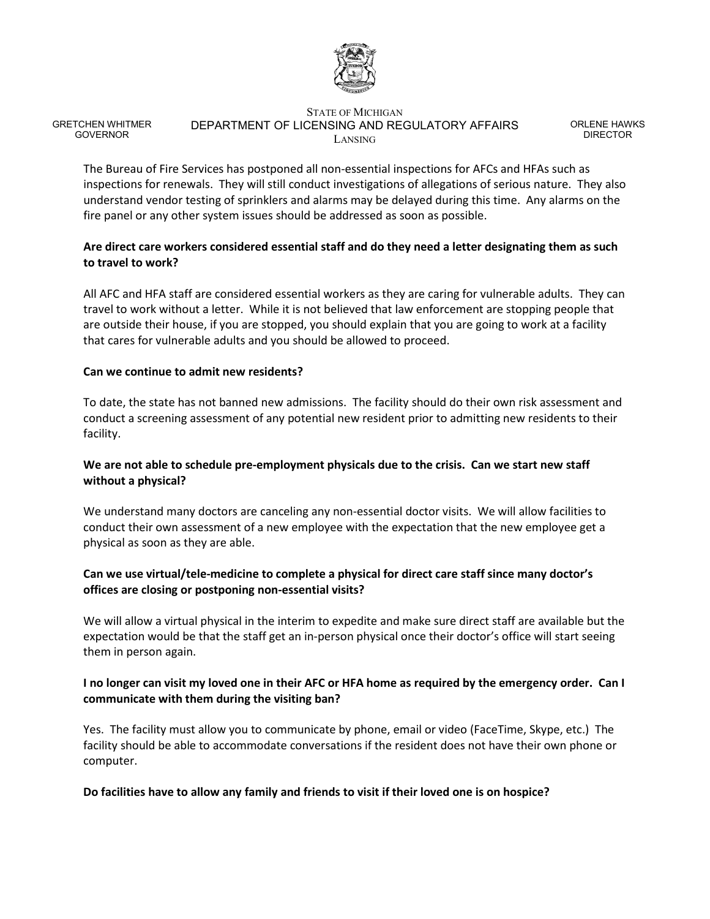

#### STATE OF MICHIGAN DEPARTMENT OF LICENSING AND REGULATORY AFFAIRS LANSING

ORLENE HAWKS DIRECTOR

The Bureau of Fire Services has postponed all non-essential inspections for AFCs and HFAs such as inspections for renewals. They will still conduct investigations of allegations of serious nature. They also understand vendor testing of sprinklers and alarms may be delayed during this time. Any alarms on the fire panel or any other system issues should be addressed as soon as possible.

# **Are direct care workers considered essential staff and do they need a letter designating them as such to travel to work?**

All AFC and HFA staff are considered essential workers as they are caring for vulnerable adults. They can travel to work without a letter. While it is not believed that law enforcement are stopping people that are outside their house, if you are stopped, you should explain that you are going to work at a facility that cares for vulnerable adults and you should be allowed to proceed.

### **Can we continue to admit new residents?**

To date, the state has not banned new admissions. The facility should do their own risk assessment and conduct a screening assessment of any potential new resident prior to admitting new residents to their facility.

# **We are not able to schedule pre-employment physicals due to the crisis. Can we start new staff without a physical?**

We understand many doctors are canceling any non-essential doctor visits. We will allow facilities to conduct their own assessment of a new employee with the expectation that the new employee get a physical as soon as they are able.

# **Can we use virtual/tele-medicine to complete a physical for direct care staff since many doctor's offices are closing or postponing non-essential visits?**

We will allow a virtual physical in the interim to expedite and make sure direct staff are available but the expectation would be that the staff get an in-person physical once their doctor's office will start seeing them in person again.

# **I no longer can visit my loved one in their AFC or HFA home as required by the emergency order. Can I communicate with them during the visiting ban?**

Yes. The facility must allow you to communicate by phone, email or video (FaceTime, Skype, etc.) The facility should be able to accommodate conversations if the resident does not have their own phone or computer.

# **Do facilities have to allow any family and friends to visit if their loved one is on hospice?**